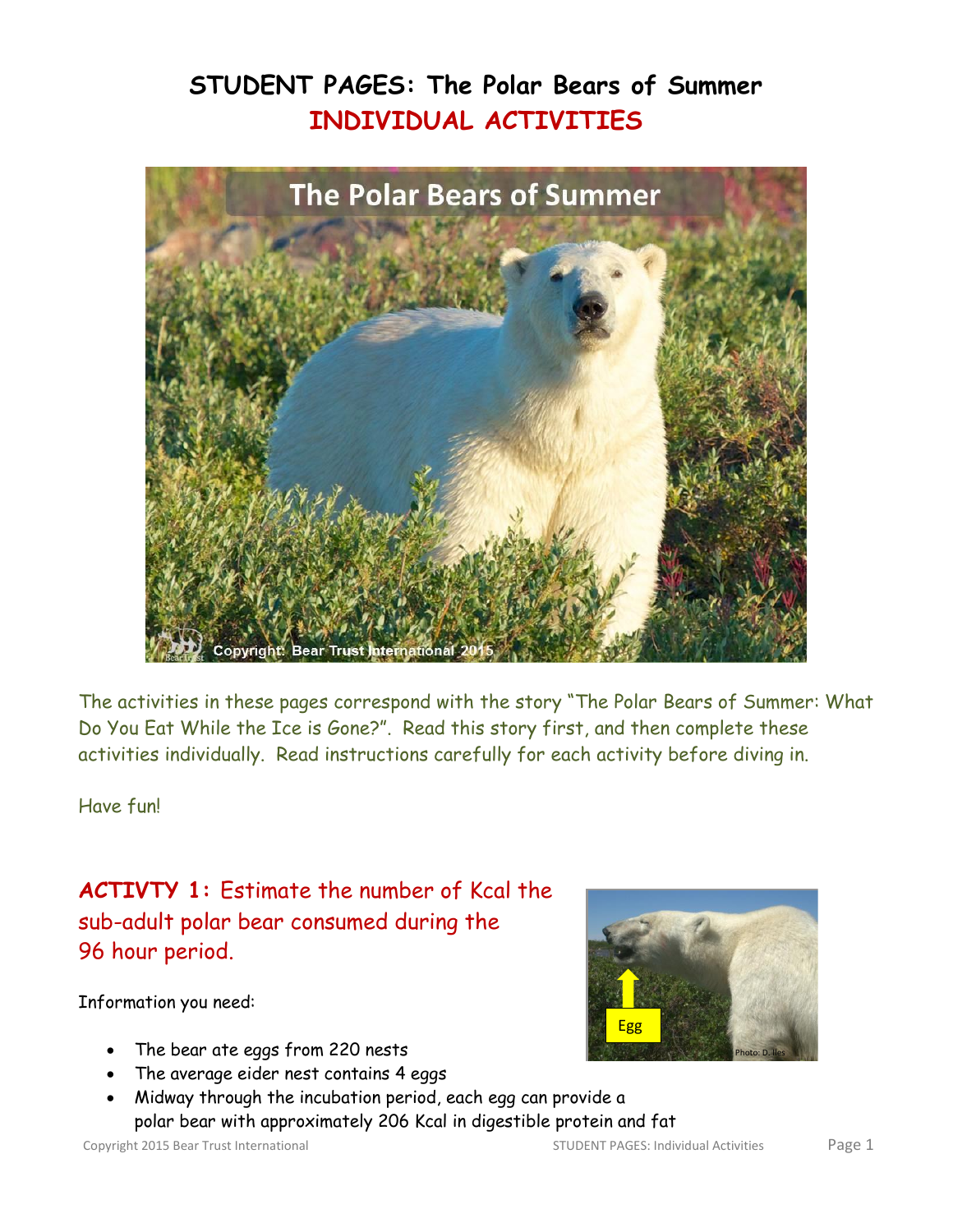# **STUDENT PAGES: The Polar Bears of Summer INDIVIDUAL ACTIVITIES**



The activities in these pages correspond with the story "The Polar Bears of Summer: What Do You Eat While the Ice is Gone?". Read this story first, and then complete these activities individually. Read instructions carefully for each activity before diving in.

Have fun!

**ACTIVTY 1:** Estimate the number of Kcal the sub-adult polar bear consumed during the 96 hour period.

Information you need:

- The bear ate eggs from 220 nests
- The average eider nest contains 4 eggs
- Midway through the incubation period, each egg can provide a polar bear with approximately 206 Kcal in digestible protein and fat

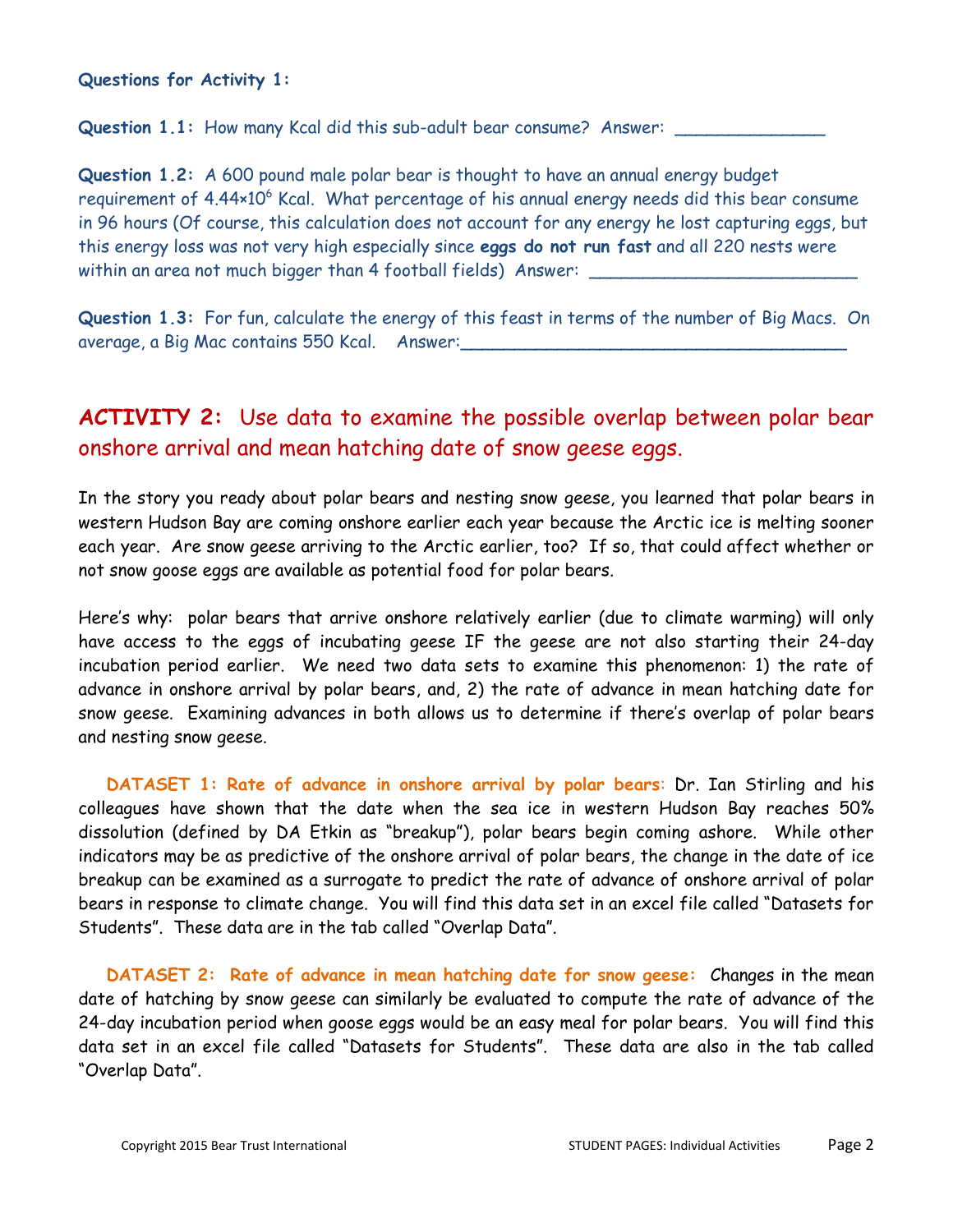**Questions for Activity 1:** 

Question 1.1: How many Kcal did this sub-adult bear consume? Answer:

**Question 1.2:** A 600 pound male polar bear is thought to have an annual energy budget requirement of  $4.44 \times 10^6$  Kcal. What percentage of his annual energy needs did this bear consume in 96 hours (Of course, this calculation does not account for any energy he lost capturing eggs, but this energy loss was not very high especially since **eggs do not run fast** and all 220 nests were within an area not much bigger than 4 football fields) Answer:

**Question 1.3:** For fun, calculate the energy of this feast in terms of the number of Big Macs. On average, a Big Mac contains 550 Kcal. Answer:

### **ACTIVITY 2:** Use data to examine the possible overlap between polar bear onshore arrival and mean hatching date of snow geese eggs.

In the story you ready about polar bears and nesting snow geese, you learned that polar bears in western Hudson Bay are coming onshore earlier each year because the Arctic ice is melting sooner each year. Are snow geese arriving to the Arctic earlier, too? If so, that could affect whether or not snow goose eggs are available as potential food for polar bears.

Here's why: polar bears that arrive onshore relatively earlier (due to climate warming) will only have access to the eggs of incubating geese IF the geese are not also starting their 24-day incubation period earlier. We need two data sets to examine this phenomenon: 1) the rate of advance in onshore arrival by polar bears, and, 2) the rate of advance in mean hatching date for snow geese. Examining advances in both allows us to determine if there's overlap of polar bears and nesting snow geese.

**DATASET 1: Rate of advance in onshore arrival by polar bears**: Dr. Ian Stirling and his colleagues have shown that the date when the sea ice in western Hudson Bay reaches 50% dissolution (defined by DA Etkin as "breakup"), polar bears begin coming ashore. While other indicators may be as predictive of the onshore arrival of polar bears, the change in the date of ice breakup can be examined as a surrogate to predict the rate of advance of onshore arrival of polar bears in response to climate change. You will find this data set in an excel file called "Datasets for Students". These data are in the tab called "Overlap Data".

**DATASET 2: Rate of advance in mean hatching date for snow geese:** Changes in the mean date of hatching by snow geese can similarly be evaluated to compute the rate of advance of the 24-day incubation period when goose eggs would be an easy meal for polar bears. You will find this data set in an excel file called "Datasets for Students". These data are also in the tab called "Overlap Data".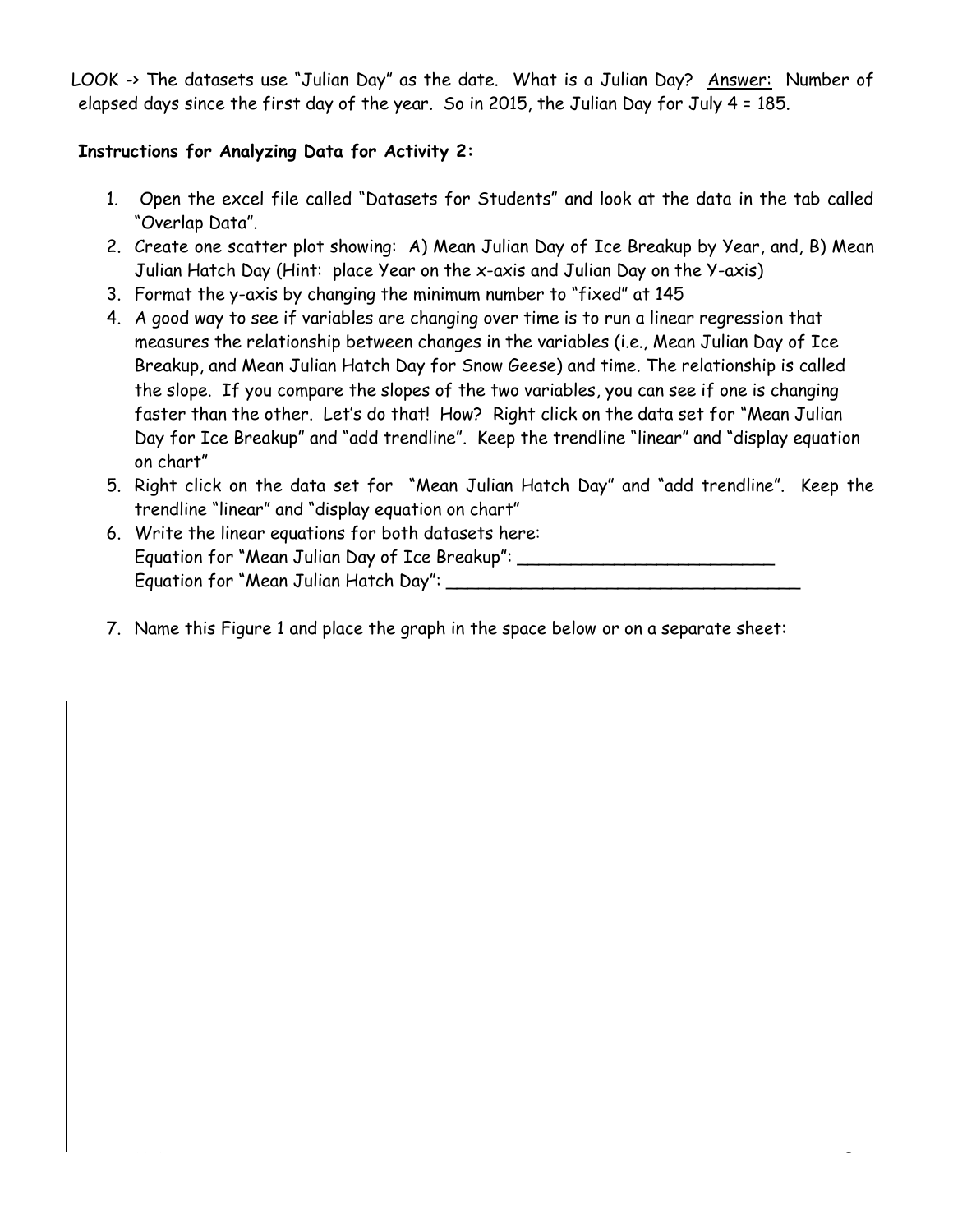LOOK -> The datasets use "Julian Day" as the date. What is a Julian Day? Answer: Number of elapsed days since the first day of the year. So in 2015, the Julian Day for July 4 = 185.

### **Instructions for Analyzing Data for Activity 2:**

- 1. Open the excel file called "Datasets for Students" and look at the data in the tab called "Overlap Data".
- 2. Create one scatter plot showing: A) Mean Julian Day of Ice Breakup by Year, and, B) Mean Julian Hatch Day (Hint: place Year on the x-axis and Julian Day on the Y-axis)
- 3. Format the y-axis by changing the minimum number to "fixed" at 145
- 4. A good way to see if variables are changing over time is to run a linear regression that measures the relationship between changes in the variables (i.e., Mean Julian Day of Ice Breakup, and Mean Julian Hatch Day for Snow Geese) and time. The relationship is called the slope. If you compare the slopes of the two variables, you can see if one is changing faster than the other. Let's do that! How? Right click on the data set for "Mean Julian Day for Ice Breakup" and "add trendline". Keep the trendline "linear" and "display equation on chart"
- 5. Right click on the data set for "Mean Julian Hatch Day" and "add trendline". Keep the trendline "linear" and "display equation on chart"

Copyright 2015 Bear Trust International STUDENT PAGES: Individual Activities Page 3

- 6. Write the linear equations for both datasets here: Equation for "Mean Julian Day of Ice Breakup": \_\_\_\_\_\_\_\_\_\_\_\_\_\_\_\_\_\_\_\_\_\_\_\_\_\_\_\_\_\_\_\_\_ Equation for "Mean Julian Hatch Day": \_\_\_\_\_\_\_\_\_\_\_\_\_\_\_\_\_\_\_\_\_\_\_\_\_\_\_\_\_\_\_\_\_
- 7. Name this Figure 1 and place the graph in the space below or on a separate sheet: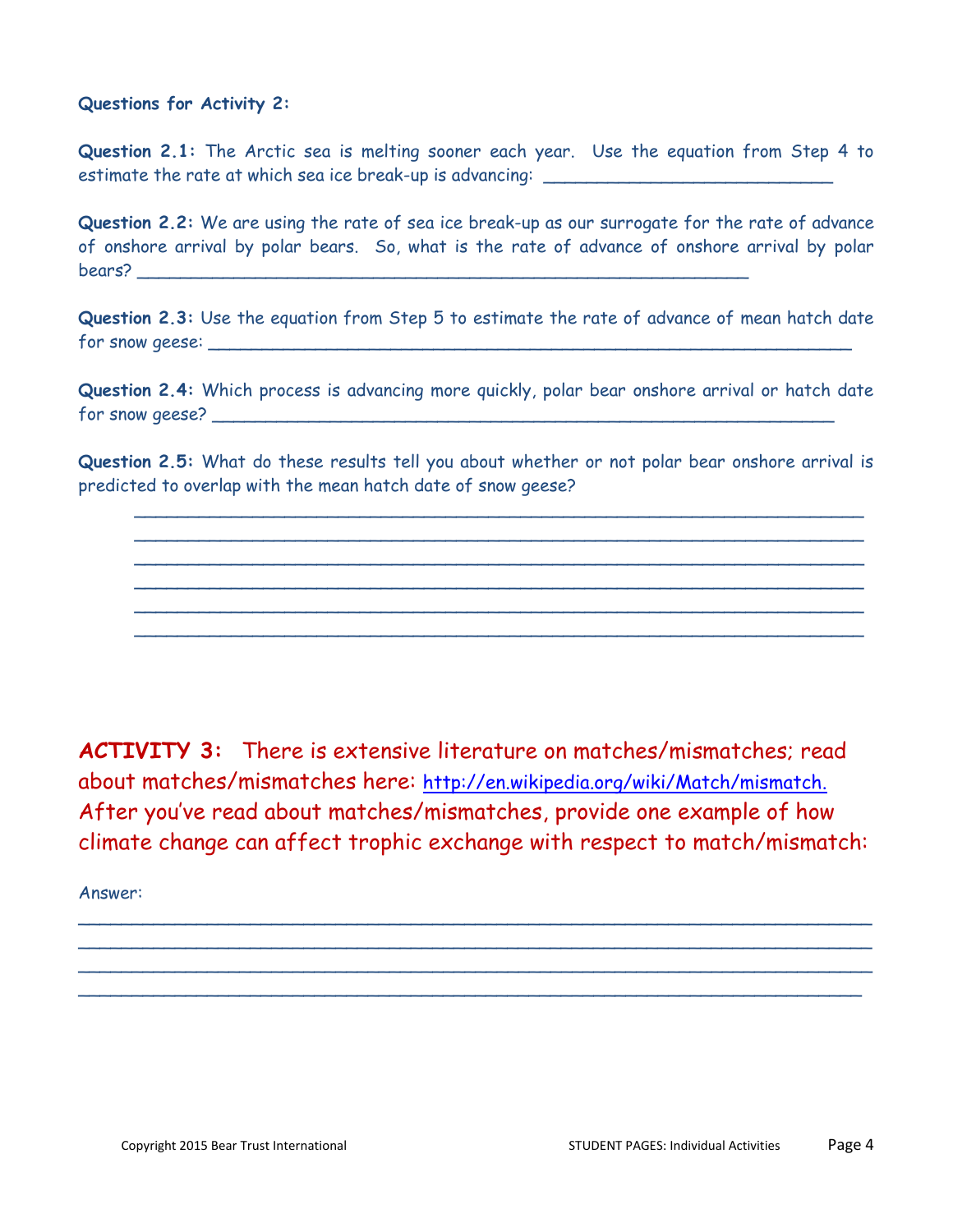#### **Questions for Activity 2:**

**Question 2.1:** The Arctic sea is melting sooner each year. Use the equation from Step 4 to estimate the rate at which sea ice break-up is advancing: \_\_\_\_\_\_\_\_\_\_\_\_\_\_\_\_\_\_\_\_\_\_

**Question 2.2:** We are using the rate of sea ice break-up as our surrogate for the rate of advance of onshore arrival by polar bears. So, what is the rate of advance of onshore arrival by polar bears? \_\_\_\_\_\_\_\_\_\_\_\_\_\_\_\_\_\_\_\_\_\_\_\_\_\_\_\_\_\_\_\_\_\_\_\_\_\_\_\_\_\_\_\_\_\_\_\_\_\_\_\_\_\_\_\_\_

**Question 2.3:** Use the equation from Step 5 to estimate the rate of advance of mean hatch date for snow geese: \_\_\_\_\_\_\_\_\_\_\_\_\_\_\_\_\_\_\_\_\_\_\_\_\_\_\_\_\_\_\_\_\_\_\_\_\_\_\_\_\_\_\_\_\_\_\_\_\_\_\_\_\_\_\_\_\_\_\_\_

**Question 2.4:** Which process is advancing more quickly, polar bear onshore arrival or hatch date for snow geese?  $\overline{\phantom{a}}$ 

**Question 2.5:** What do these results tell you about whether or not polar bear onshore arrival is predicted to overlap with the mean hatch date of snow geese?

\_\_\_\_\_\_\_\_\_\_\_\_\_\_\_\_\_\_\_\_\_\_\_\_\_\_\_\_\_\_\_\_\_\_\_\_\_\_\_\_\_\_\_\_\_\_\_\_\_\_\_\_\_\_\_\_\_\_\_\_\_\_\_\_\_\_\_\_ \_\_\_\_\_\_\_\_\_\_\_\_\_\_\_\_\_\_\_\_\_\_\_\_\_\_\_\_\_\_\_\_\_\_\_\_\_\_\_\_\_\_\_\_\_\_\_\_\_\_\_\_\_\_\_\_\_\_\_\_\_\_\_\_\_\_\_\_ \_\_\_\_\_\_\_\_\_\_\_\_\_\_\_\_\_\_\_\_\_\_\_\_\_\_\_\_\_\_\_\_\_\_\_\_\_\_\_\_\_\_\_\_\_\_\_\_\_\_\_\_\_\_\_\_\_\_\_\_\_\_\_\_\_\_\_\_ \_\_\_\_\_\_\_\_\_\_\_\_\_\_\_\_\_\_\_\_\_\_\_\_\_\_\_\_\_\_\_\_\_\_\_\_\_\_\_\_\_\_\_\_\_\_\_\_\_\_\_\_\_\_\_\_\_\_\_\_\_\_\_\_\_\_\_\_  $\overline{\phantom{a}}$  , and the contribution of the contribution of the contribution of the contribution of the contribution of the contribution of the contribution of the contribution of the contribution of the contribution of the \_\_\_\_\_\_\_\_\_\_\_\_\_\_\_\_\_\_\_\_\_\_\_\_\_\_\_\_\_\_\_\_\_\_\_\_\_\_\_\_\_\_\_\_\_\_\_\_\_\_\_\_\_\_\_\_\_\_\_\_\_\_\_\_\_\_\_\_

**ACTIVITY 3:** There is extensive literature on matches/mismatches; read about matches/mismatches here: [http://en.wikipedia.org/wiki/Match/mismatch.](http://en.wikipedia.org/wiki/Match/mismatch) After you've read about matches/mismatches, provide one example of how climate change can affect trophic exchange with respect to match/mismatch:

\_\_\_\_\_\_\_\_\_\_\_\_\_\_\_\_\_\_\_\_\_\_\_\_\_\_\_\_\_\_\_\_\_\_\_\_\_\_\_\_\_\_\_\_\_\_\_\_\_\_\_\_\_\_\_\_\_\_\_\_\_\_\_\_\_\_\_\_\_\_\_\_\_\_  $\overline{\phantom{a}}$  , and the contribution of the contribution of the contribution of the contribution of the contribution of the contribution of the contribution of the contribution of the contribution of the contribution of the  $\overline{\phantom{a}}$  , and the contribution of the contribution of the contribution of the contribution of the contribution of the contribution of the contribution of the contribution of the contribution of the contribution of the  $\overline{\phantom{a}}$  , and the contribution of the contribution of the contribution of the contribution of the contribution of the contribution of the contribution of the contribution of the contribution of the contribution of the

Answer: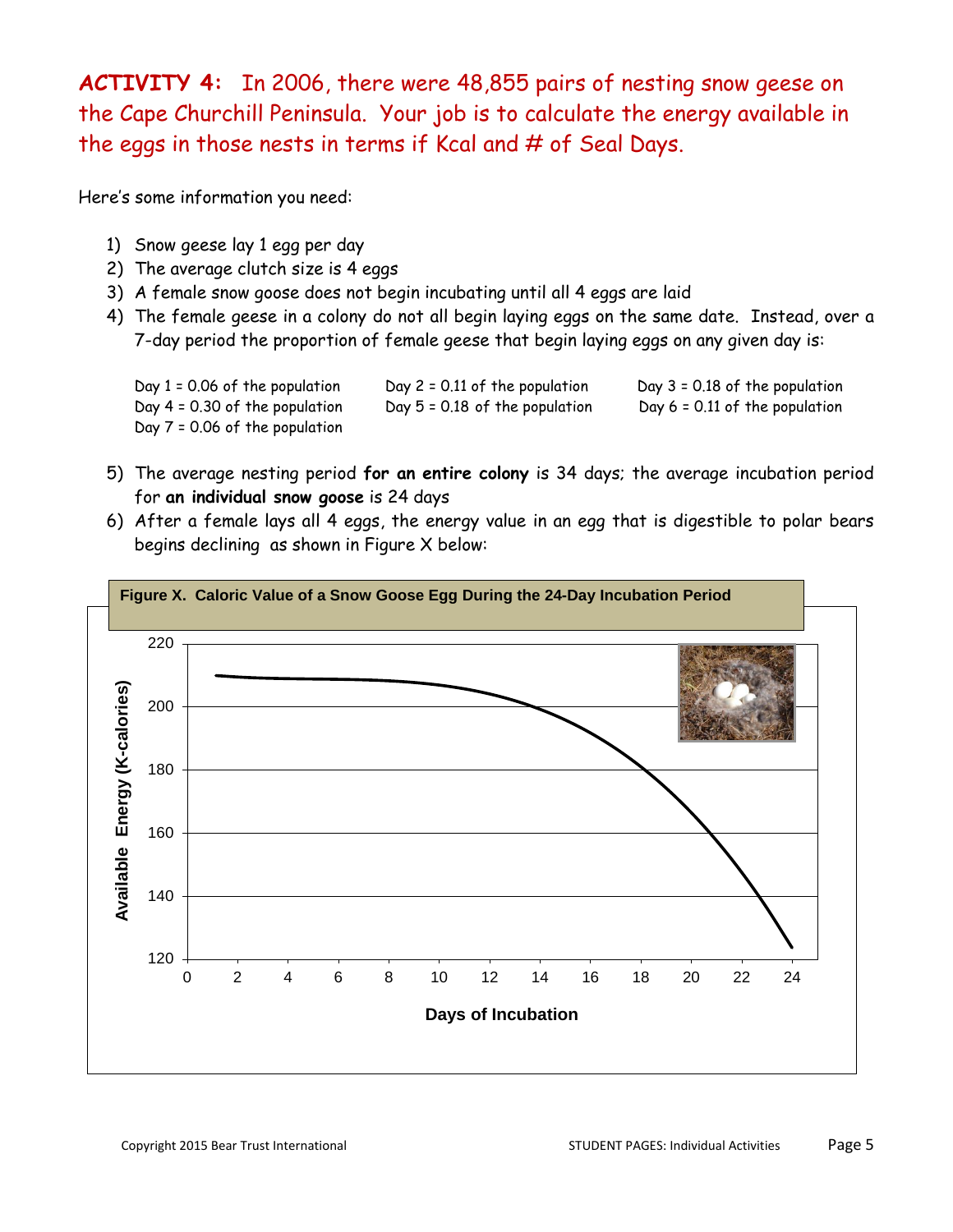**ACTIVITY 4:** In 2006, there were 48,855 pairs of nesting snow geese on the Cape Churchill Peninsula. Your job is to calculate the energy available in the eggs in those nests in terms if Kcal and # of Seal Days.

Here's some information you need:

- 1) Snow geese lay 1 egg per day
- 2) The average clutch size is 4 eggs
- 3) A female snow goose does not begin incubating until all 4 eggs are laid
- 4) The female geese in a colony do not all begin laying eggs on the same date. Instead, over a 7-day period the proportion of female geese that begin laying eggs on any given day is:



- 5) The average nesting period **for an entire colony** is 34 days; the average incubation period for **an individual snow goose** is 24 days
- 6) After a female lays all 4 eggs, the energy value in an egg that is digestible to polar bears begins declining as shown in Figure X below:

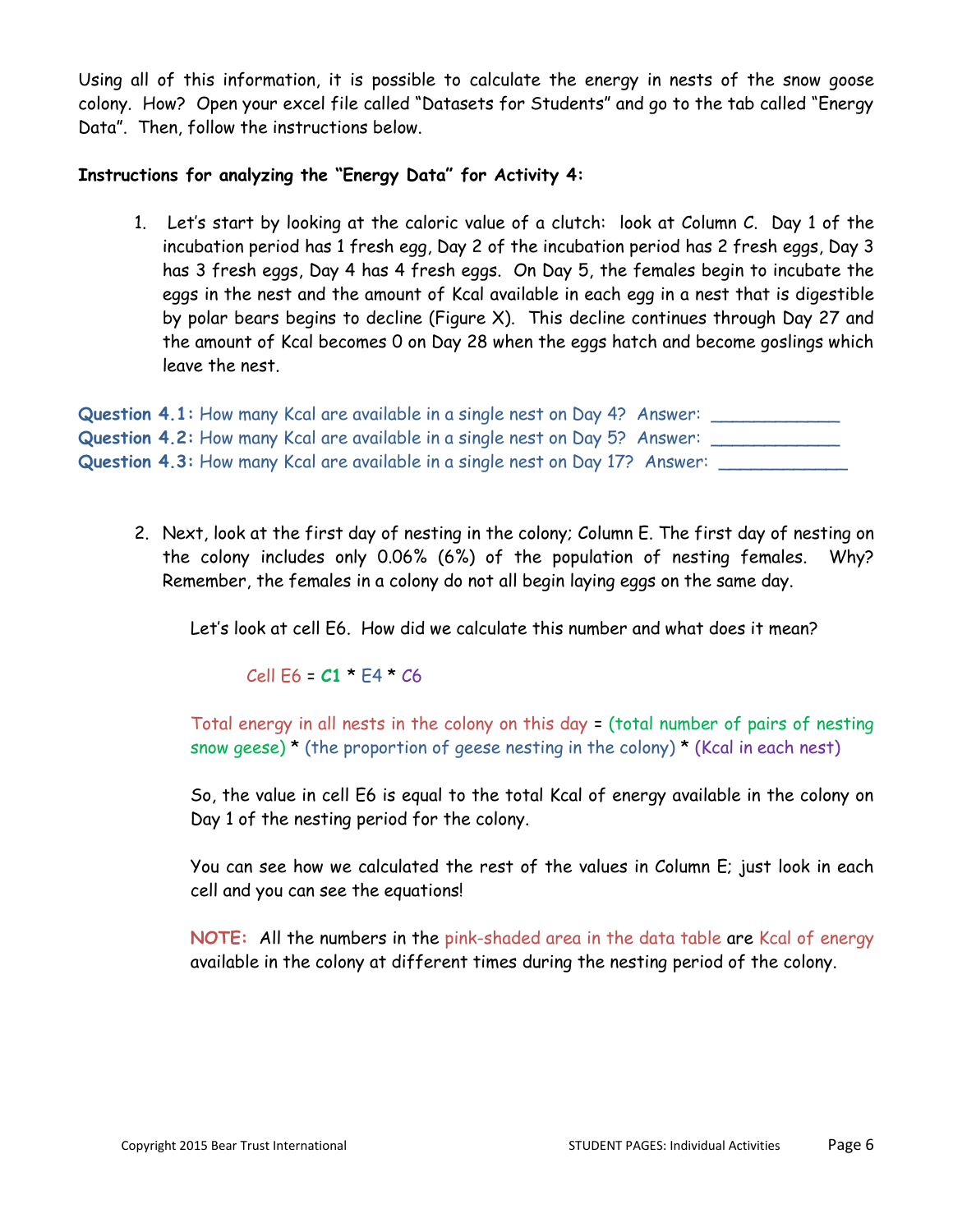Using all of this information, it is possible to calculate the energy in nests of the snow goose colony. How? Open your excel file called "Datasets for Students" and go to the tab called "Energy Data". Then, follow the instructions below.

#### **Instructions for analyzing the "Energy Data" for Activity 4:**

1. Let's start by looking at the caloric value of a clutch: look at Column C. Day 1 of the incubation period has 1 fresh egg, Day 2 of the incubation period has 2 fresh eggs, Day 3 has 3 fresh eggs, Day 4 has 4 fresh eggs. On Day 5, the females begin to incubate the eggs in the nest and the amount of Kcal available in each egg in a nest that is digestible by polar bears begins to decline (Figure X). This decline continues through Day 27 and the amount of Kcal becomes 0 on Day 28 when the eggs hatch and become goslings which leave the nest.

| Question 4.1: How many Kcal are available in a single nest on Day 4? Answer:  |  |
|-------------------------------------------------------------------------------|--|
| Question 4.2: How many Kcal are available in a single nest on Day 5? Answer:  |  |
| Question 4.3: How many Kcal are available in a single nest on Day 17? Answer: |  |

2. Next, look at the first day of nesting in the colony; Column E. The first day of nesting on the colony includes only 0.06% (6%) of the population of nesting females. Why? Remember, the females in a colony do not all begin laying eggs on the same day.

Let's look at cell E6. How did we calculate this number and what does it mean?

Cell E6 = **C1** \* E4 \* C6

Total energy in all nests in the colony on this day = (total number of pairs of nesting snow geese)  $\star$  (the proportion of geese nesting in the colony)  $\star$  (Kcal in each nest)

So, the value in cell E6 is equal to the total Kcal of energy available in the colony on Day 1 of the nesting period for the colony.

You can see how we calculated the rest of the values in Column E; just look in each cell and you can see the equations!

**NOTE:** All the numbers in the pink-shaded area in the data table are Kcal of energy available in the colony at different times during the nesting period of the colony.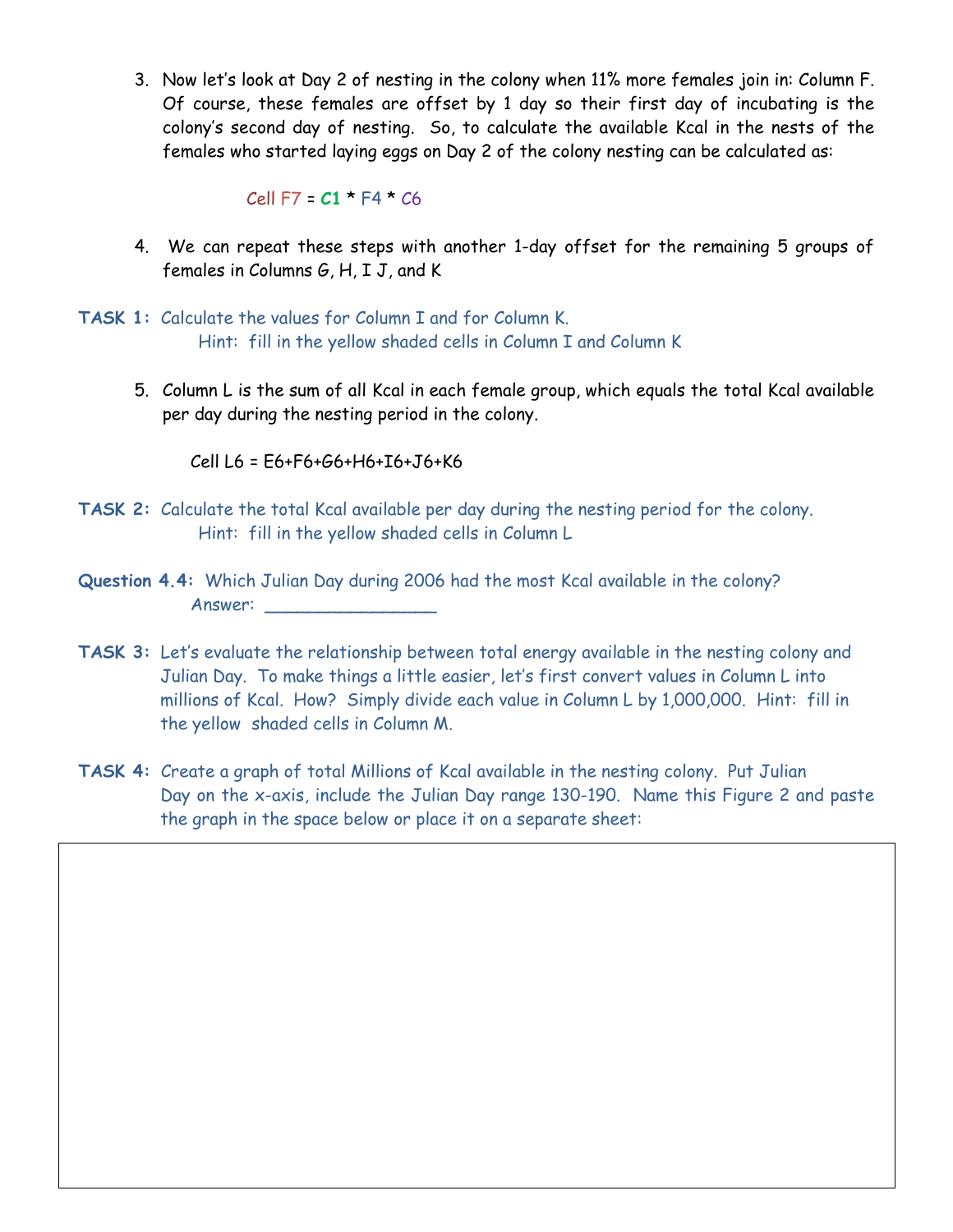3. Now let's look at Day 2 of nesting in the colony when 11% more females join in: Column F. Of course, these females are offset by 1 day so their first day of incubating is the colony's second day of nesting. So, to calculate the available Kcal in the nests of the females who started laying eggs on Day 2 of the colony nesting can be calculated as:

Cell F7 = **C1** \* F4 \* C6

- 4. We can repeat these steps with another 1-day offset for the remaining 5 groups of females in Columns G, H, I J, and K
- **TASK 1:** Calculate the values for Column I and for Column K. Hint: fill in the yellow shaded cells in Column I and Column K
	- 5. Column L is the sum of all Kcal in each female group, which equals the total Kcal available per day during the nesting period in the colony.

Cell L6 = E6+F6+G6+H6+I6+J6+K6

- **TASK 2:** Calculate the total Kcal available per day during the nesting period for the colony. Hint: fill in the yellow shaded cells in Column L
- **Question 4.4:** Which Julian Day during 2006 had the most Kcal available in the colony? Answer: \_\_\_\_\_\_\_\_\_\_\_\_\_\_\_\_
- **TASK 3:** Let's evaluate the relationship between total energy available in the nesting colony and Julian Day. To make things a little easier, let's first convert values in Column L into millions of Kcal. How? Simply divide each value in Column L by 1,000,000. Hint: fill in the yellow shaded cells in Column M.
- **TASK 4:** Create a graph of total Millions of Kcal available in the nesting colony. Put Julian Day on the x-axis, include the Julian Day range 130-190. Name this Figure 2 and paste the graph in the space below or place it on a separate sheet: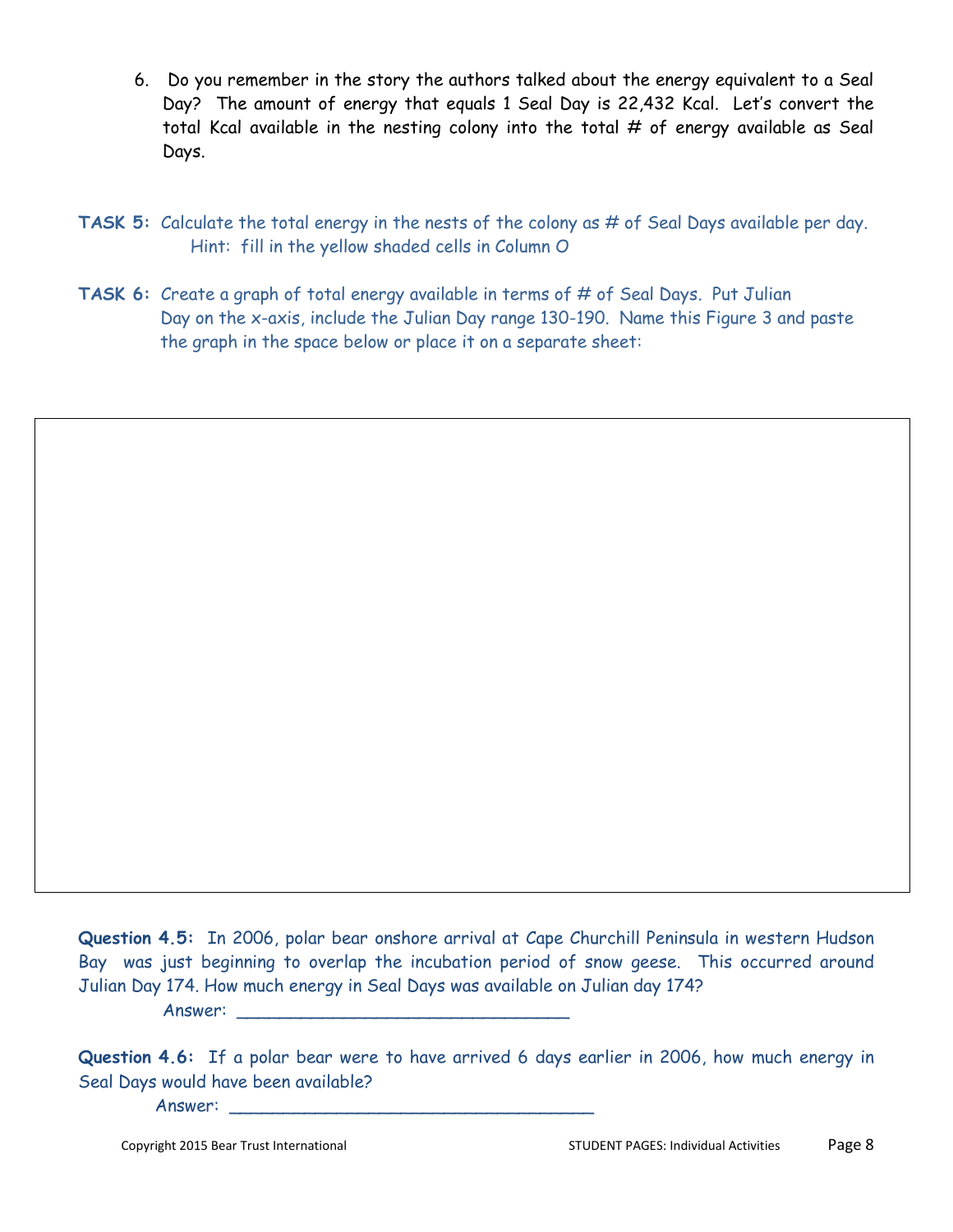- 6. Do you remember in the story the authors talked about the energy equivalent to a Seal Day? The amount of energy that equals 1 Seal Day is 22,432 Kcal. Let's convert the total Kcal available in the nesting colony into the total  $#$  of energy available as Seal Days.
- **TASK 5:** Calculate the total energy in the nests of the colony as # of Seal Days available per day. Hint: fill in the yellow shaded cells in Column O
- **TASK 6:** Create a graph of total energy available in terms of # of Seal Days. Put Julian Day on the x-axis, include the Julian Day range 130-190. Name this Figure 3 and paste the graph in the space below or place it on a separate sheet:

**Question 4.5:** In 2006, polar bear onshore arrival at Cape Churchill Peninsula in western Hudson Bay was just beginning to overlap the incubation period of snow geese. This occurred around Julian Day 174. How much energy in Seal Days was available on Julian day 174? Answer:

**Question 4.6:** If a polar bear were to have arrived 6 days earlier in 2006, how much energy in Seal Days would have been available?

Answer: \_\_\_\_\_\_\_\_\_\_\_\_\_\_\_\_\_\_\_\_\_\_\_\_\_\_\_\_\_\_\_\_\_\_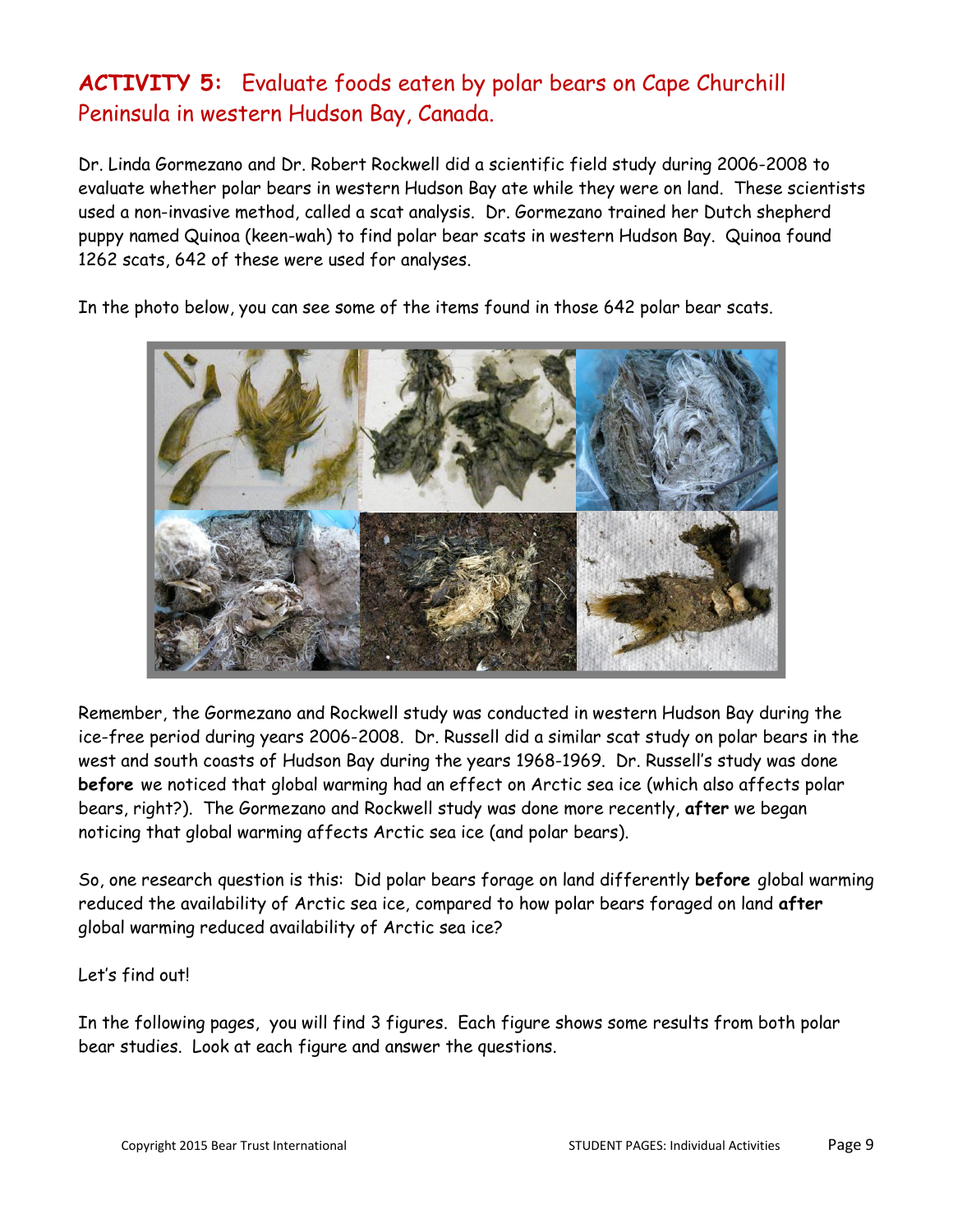## **ACTIVITY 5:** Evaluate foods eaten by polar bears on Cape Churchill Peninsula in western Hudson Bay, Canada.

Dr. Linda Gormezano and Dr. Robert Rockwell did a scientific field study during 2006-2008 to evaluate whether polar bears in western Hudson Bay ate while they were on land. These scientists used a non-invasive method, called a scat analysis. Dr. Gormezano trained her Dutch shepherd puppy named Quinoa (keen-wah) to find polar bear scats in western Hudson Bay. Quinoa found 1262 scats, 642 of these were used for analyses.

In the photo below, you can see some of the items found in those 642 polar bear scats.



Remember, the Gormezano and Rockwell study was conducted in western Hudson Bay during the ice-free period during years 2006-2008. Dr. Russell did a similar scat study on polar bears in the west and south coasts of Hudson Bay during the years 1968-1969. Dr. Russell's study was done **before** we noticed that global warming had an effect on Arctic sea ice (which also affects polar bears, right?). The Gormezano and Rockwell study was done more recently, **after** we began noticing that global warming affects Arctic sea ice (and polar bears).

So, one research question is this: Did polar bears forage on land differently **before** global warming reduced the availability of Arctic sea ice, compared to how polar bears foraged on land **after** global warming reduced availability of Arctic sea ice?

Let's find out!

In the following pages, you will find 3 figures. Each figure shows some results from both polar bear studies. Look at each figure and answer the questions.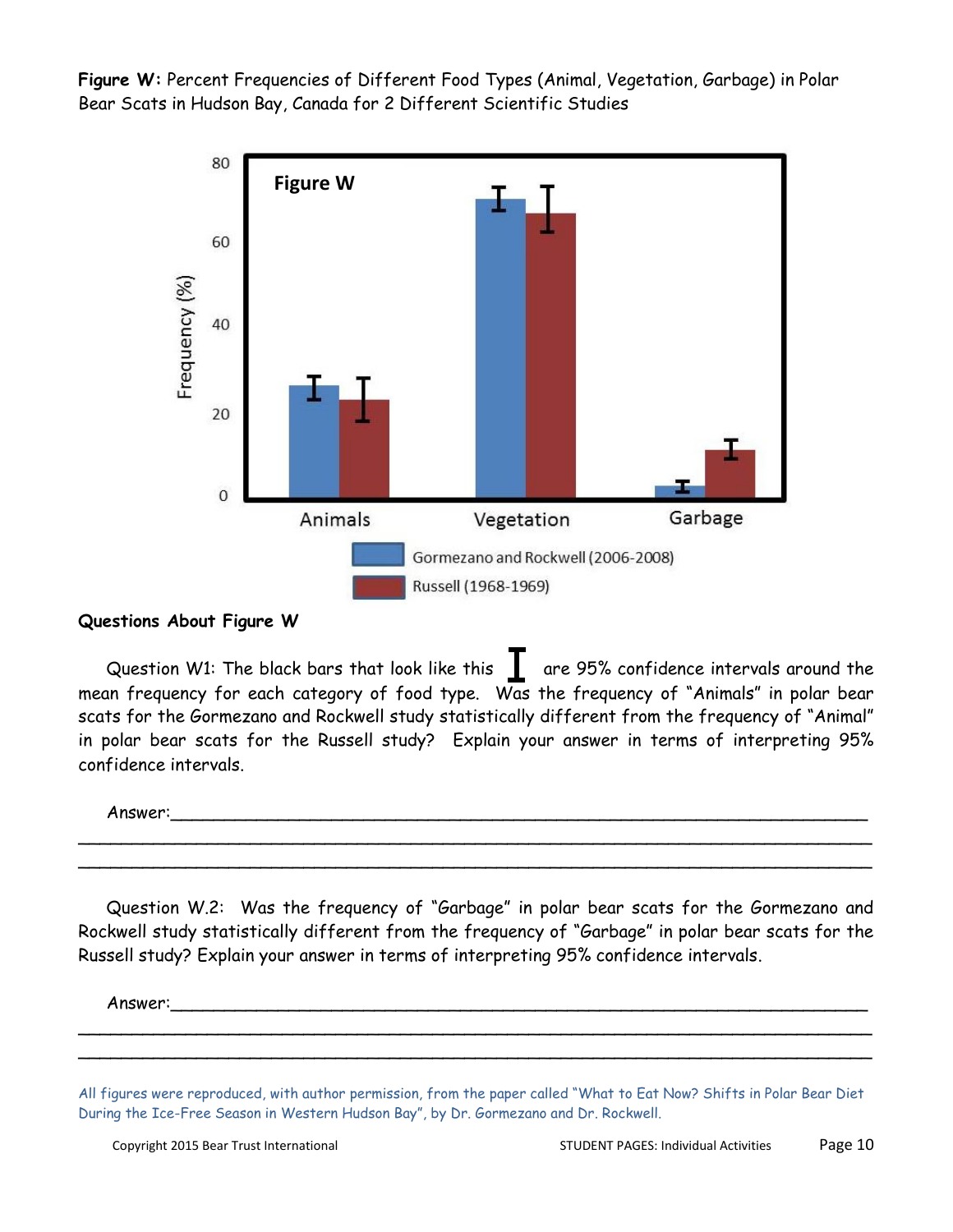**Figure W:** Percent Frequencies of Different Food Types (Animal, Vegetation, Garbage) in Polar Bear Scats in Hudson Bay, Canada for 2 Different Scientific Studies



#### **Questions About Figure W**

Question W1: The black bars that look like this are 95% confidence intervals around the mean frequency for each category of food type. Was the frequency of "Animals" in polar bear scats for the Gormezano and Rockwell study statistically different from the frequency of "Animal" in polar bear scats for the Russell study? Explain your answer in terms of interpreting 95% confidence intervals.

Answer:\_\_\_\_\_\_\_\_\_\_\_\_\_\_\_\_\_\_\_\_\_\_\_\_\_\_\_\_\_\_\_\_\_\_\_\_\_\_\_\_\_\_\_\_\_\_\_\_\_\_\_\_\_\_\_\_\_\_\_\_\_\_\_\_\_

Question W.2: Was the frequency of "Garbage" in polar bear scats for the Gormezano and Rockwell study statistically different from the frequency of "Garbage" in polar bear scats for the Russell study? Explain your answer in terms of interpreting 95% confidence intervals.

\_\_\_\_\_\_\_\_\_\_\_\_\_\_\_\_\_\_\_\_\_\_\_\_\_\_\_\_\_\_\_\_\_\_\_\_\_\_\_\_\_\_\_\_\_\_\_\_\_\_\_\_\_\_\_\_\_\_\_\_\_\_\_\_\_\_\_\_\_\_\_\_\_\_ \_\_\_\_\_\_\_\_\_\_\_\_\_\_\_\_\_\_\_\_\_\_\_\_\_\_\_\_\_\_\_\_\_\_\_\_\_\_\_\_\_\_\_\_\_\_\_\_\_\_\_\_\_\_\_\_\_\_\_\_\_\_\_\_\_\_\_\_\_\_\_\_\_\_

Answer:\_\_\_\_\_\_\_\_\_\_\_\_\_\_\_\_\_\_\_\_\_\_\_\_\_\_\_\_\_\_\_\_\_\_\_\_\_\_\_\_\_\_\_\_\_\_\_\_\_\_\_\_\_\_\_\_\_\_\_\_\_\_\_\_\_

\_\_\_\_\_\_\_\_\_\_\_\_\_\_\_\_\_\_\_\_\_\_\_\_\_\_\_\_\_\_\_\_\_\_\_\_\_\_\_\_\_\_\_\_\_\_\_\_\_\_\_\_\_\_\_\_\_\_\_\_\_\_\_\_\_\_\_\_\_\_\_\_\_\_ \_\_\_\_\_\_\_\_\_\_\_\_\_\_\_\_\_\_\_\_\_\_\_\_\_\_\_\_\_\_\_\_\_\_\_\_\_\_\_\_\_\_\_\_\_\_\_\_\_\_\_\_\_\_\_\_\_\_\_\_\_\_\_\_\_\_\_\_\_\_\_\_\_\_

All figures were reproduced, with author permission, from the paper called "What to Eat Now? Shifts in Polar Bear Diet During the Ice-Free Season in Western Hudson Bay", by Dr. Gormezano and Dr. Rockwell.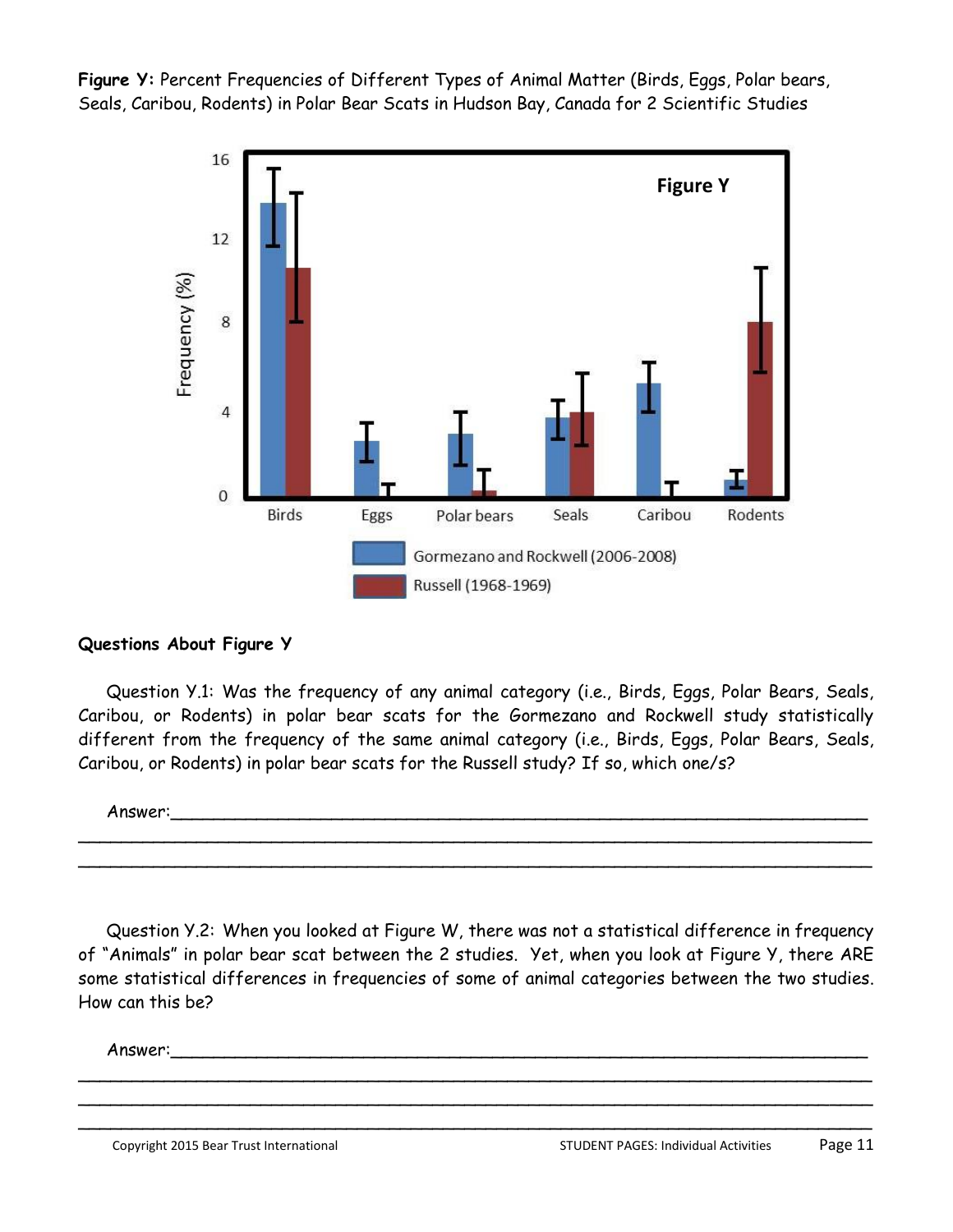**Figure Y:** Percent Frequencies of Different Types of Animal Matter (Birds, Eggs, Polar bears, Seals, Caribou, Rodents) in Polar Bear Scats in Hudson Bay, Canada for 2 Scientific Studies



#### **Questions About Figure Y**

Question Y.1: Was the frequency of any animal category (i.e., Birds, Eggs, Polar Bears, Seals, Caribou, or Rodents) in polar bear scats for the Gormezano and Rockwell study statistically different from the frequency of the same animal category (i.e., Birds, Eggs, Polar Bears, Seals, Caribou, or Rodents) in polar bear scats for the Russell study? If so, which one/s?

Answer:\_\_\_\_\_\_\_\_\_\_\_\_\_\_\_\_\_\_\_\_\_\_\_\_\_\_\_\_\_\_\_\_\_\_\_\_\_\_\_\_\_\_\_\_\_\_\_\_\_\_\_\_\_\_\_\_\_\_\_\_\_\_\_\_\_ \_\_\_\_\_\_\_\_\_\_\_\_\_\_\_\_\_\_\_\_\_\_\_\_\_\_\_\_\_\_\_\_\_\_\_\_\_\_\_\_\_\_\_\_\_\_\_\_\_\_\_\_\_\_\_\_\_\_\_\_\_\_\_\_\_\_\_\_\_\_\_\_\_\_

\_\_\_\_\_\_\_\_\_\_\_\_\_\_\_\_\_\_\_\_\_\_\_\_\_\_\_\_\_\_\_\_\_\_\_\_\_\_\_\_\_\_\_\_\_\_\_\_\_\_\_\_\_\_\_\_\_\_\_\_\_\_\_\_\_\_\_\_\_\_\_\_\_\_

Question Y.2: When you looked at Figure W, there was not a statistical difference in frequency of "Animals" in polar bear scat between the 2 studies. Yet, when you look at Figure Y, there ARE some statistical differences in frequencies of some of animal categories between the two studies. How can this be?

\_\_\_\_\_\_\_\_\_\_\_\_\_\_\_\_\_\_\_\_\_\_\_\_\_\_\_\_\_\_\_\_\_\_\_\_\_\_\_\_\_\_\_\_\_\_\_\_\_\_\_\_\_\_\_\_\_\_\_\_\_\_\_\_\_\_\_\_\_\_\_\_\_\_ \_\_\_\_\_\_\_\_\_\_\_\_\_\_\_\_\_\_\_\_\_\_\_\_\_\_\_\_\_\_\_\_\_\_\_\_\_\_\_\_\_\_\_\_\_\_\_\_\_\_\_\_\_\_\_\_\_\_\_\_\_\_\_\_\_\_\_\_\_\_\_\_\_\_ \_\_\_\_\_\_\_\_\_\_\_\_\_\_\_\_\_\_\_\_\_\_\_\_\_\_\_\_\_\_\_\_\_\_\_\_\_\_\_\_\_\_\_\_\_\_\_\_\_\_\_\_\_\_\_\_\_\_\_\_\_\_\_\_\_\_\_\_\_\_\_\_\_\_

Answer:\_\_\_\_\_\_\_\_\_\_\_\_\_\_\_\_\_\_\_\_\_\_\_\_\_\_\_\_\_\_\_\_\_\_\_\_\_\_\_\_\_\_\_\_\_\_\_\_\_\_\_\_\_\_\_\_\_\_\_\_\_\_\_\_\_